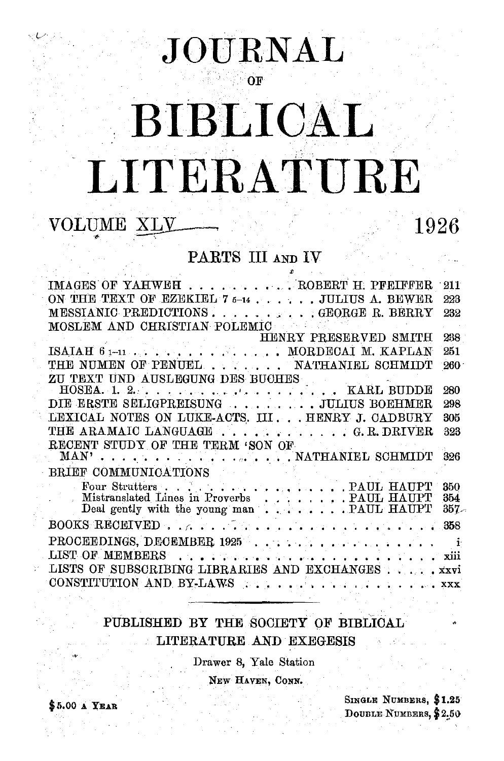### **JOURNAL**

OF

# **BIBLICAL LITERATURE**

## VOLUME '•l(f .- X~ ..

**1926** 

#### PARTS III AND IV

| IMAGES OF YAHWEH ROBERT H. PFEIFFER                                                                                                                                                                                            | 211     |
|--------------------------------------------------------------------------------------------------------------------------------------------------------------------------------------------------------------------------------|---------|
| ON THE TEXT OF EZEKIEL 7 5-14 JULIUS A. BEWER                                                                                                                                                                                  | 223     |
| MESSIANIC PREDICTIONSGEORGE R. BERRY                                                                                                                                                                                           | 232     |
| MOSLEM AND CHRISTIAN POLEMIC                                                                                                                                                                                                   |         |
| HENRY PRESERVED SMITH                                                                                                                                                                                                          | 238     |
| ISAIAH 6 1-11 MORDECAI M. KAPLAN                                                                                                                                                                                               | 251     |
| THE NUMEN OF PENUEL NATHANIEL SCHMIDT                                                                                                                                                                                          | $260 -$ |
| ZU TEXT UND AUSLEGUNG DES BUCHES                                                                                                                                                                                               |         |
| HOSEA 1.2. $\dots$ . $\dots$ . $\dots$ . $\dots$ . $\dots$ . $\ldots$ . $\ldots$ . KARL BUDDE                                                                                                                                  | 280     |
| DIE ERSTE SELIGPREISUNG  JULIUS BOEHMER                                                                                                                                                                                        | 298     |
| LEXICAL NOTES ON LUKE-ACTS. III HENRY J. CADBURY                                                                                                                                                                               | 305     |
| THE ARAMAIC LANGUAGE G.R.DRIVER                                                                                                                                                                                                | 323     |
| RECENT STUDY OF THE TERM 'SON OF                                                                                                                                                                                               |         |
|                                                                                                                                                                                                                                | 326     |
| BRIEF COMMUNICATIONS<br>of a special control                                                                                                                                                                                   |         |
| Four Strutters PAUL HAUPT                                                                                                                                                                                                      | 350     |
| Mistranslated Lines in Proverbs PAUL HAUPT                                                                                                                                                                                     | 354     |
| Deal gently with the young man PAUL HAUPT                                                                                                                                                                                      | $357 -$ |
|                                                                                                                                                                                                                                |         |
|                                                                                                                                                                                                                                |         |
|                                                                                                                                                                                                                                |         |
| LISTS OF SUBSCRIBING LIBRARIES AND EXCHANGES xxvi                                                                                                                                                                              |         |
| CONSTITUTION AND BY-LAWS and a constitution and state of the state of the state of the state of the state of the state of the state of the state of the state of the state of the state of the state of the state of the state |         |
|                                                                                                                                                                                                                                |         |

#### PUBLISHED BY THE SOCIETY OF BIBLICAL LITERATURE AND EXEGESIS

Drawer 8, Yale Station

NEW HAVEN, CONN.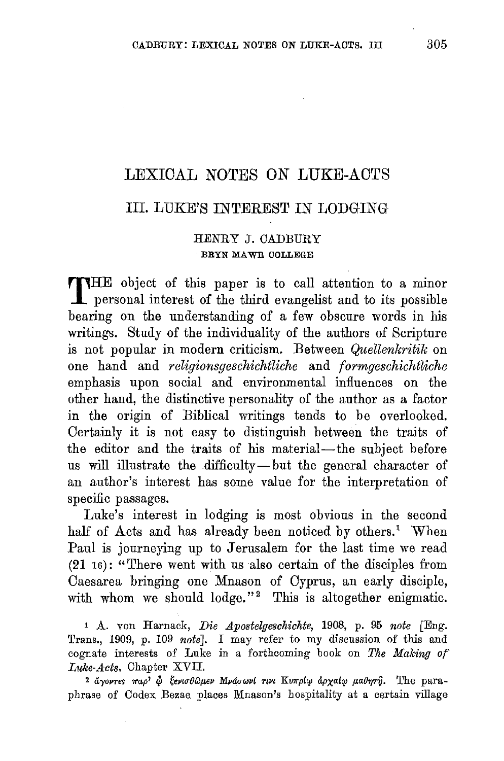#### LEXICAL NOTES ON LUKE-ACTS

#### III. LUKE'S INTEREST IN LODGING

#### HENRY J. CADBURY BRYN MAWR COLLEGE

THE object of this paper is to call attention to a minor personal interest of the third evangelist and to its possible bearing on the understanding of a few obscure words in his writings. Study of the individuality of the authors of Scripture is not popular in modern criticism. Between *Quellenkritik* on one hand and *religionsgeschichtliche* and *formgeschichtliche*  emphasis upon social and environmental influences on the other hand, the distinctive personality of the author as a factor in the origin of Biblical writings tends to be overlooked. Certainly it is not easy to distinguish between the traits of the editor and the traits of his material—the subject before us will illustrate the .difficulty- but the general character of an author's interest has some value for the interpretation of specific passages.

Luke's interest in lodging is most obvious in the second half of Acts and has already been noticed by others.<sup>1</sup> When Paul is journeying up to Jerusalem for the last time we read (21 16): "There went with us also certain of the disciples from Caesarea bringing one Mnason of Cyprus, an early disciple, with whom we should lodge."<sup>2</sup> This is altogether enigmatic.

<sup>t</sup>A. von Harnack, *Die Apostelgeschichte,* 1908, p. 95 *note* [Eng. Trans., 1909, p. 109 *note].* I may refer to my discussion of this and cognate interests of Luke in a forthcoming book on *The Making of Luke-Acts,* Chapter XVII.

<sup>2</sup> άγοντες παρ' <u>ω</u> ξενισθῶμεν Μνάσωνί τινι Κυπρίφ αρχαίω μαθητή. The paraphrase of Codex Bezae places Mnason's hospitality at a certain village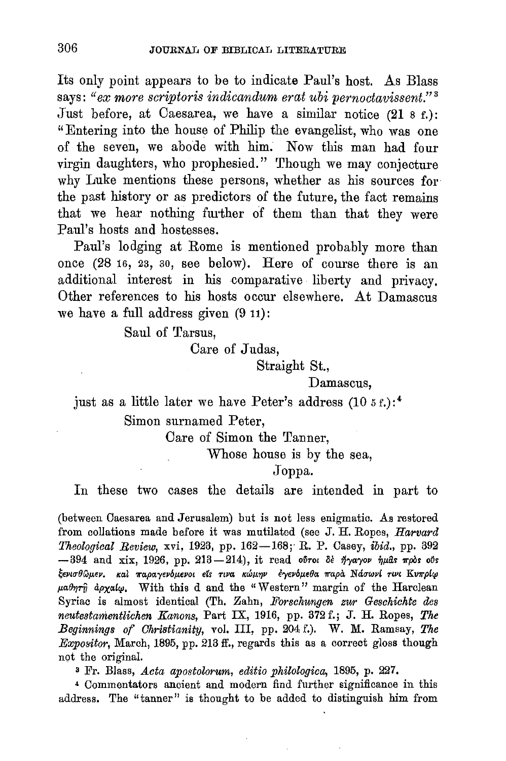Its only point appears to be to indicate Paul's host. As Blass says: "ex more scriptoris indicandum erat ubi pernoctavissent."<sup>3</sup> Just before, at Caesarea, we have a similar notice (21 8 f.): "Entering into the house of Philip the evangelist, who was one of the seven, we abode with him. Now this man had four virgin daughters, who prophesied." Though we may conjecture why Luke mentions these persons, whether as his sources for the past history or as predictors of the future, the fact remains that we hear nothing further of them than that they were Paul's hosts and hostesses.

Paul's lodging at Rome is mentioned probably more than once (28 16, 23, 30, see below). Here of course there is an additional interest in his comparative liberty and privacy. Other references to his hosts occur elsewhere. At Damascus we have a full address given (9 11):

Saul of Tarsus,

Care of Judas,

Straight St.,

Damascus,

just as a little later we have Peter's address (10 5 f.): 4

Simon surnamed Peter,

Care of Simon the Tanner,

Whose house is by the sea,

Joppa.

In these two cases the details are intended in part to

(between Caesarea and Jerusalem) but is not less enigmatic. As restored from collations made before it was mutilated (see J. H. Ropes, *Harvard Theological Review,* xvi, 1923, pp. 162-168;· R. P. Casey, *ibid.,* pp. 392  $-394$  and xix, 1926, pp. 213-214), it read *obrol δε ήγαγον ήμαs πρ*ός *obs* ξενισθωμεν. και παραγενόμενοι είς τινα κώμην έγενόμεθα παρα Νάσωνί τινι Κυπρίφ patri doxaly. With this d and the "Western" margin of the Harclean Syriac is almost identical (Th. Zahn, *Forschungen zur Geschichte des neutestamentlichen Kanons,* Part IX, 1916, pp. 372 f.; J. H. Ropes, *The Beginnings of Christianity,* vol. III, pp. 204 f.). W. M. Ramsay, *The Expositor,* March, 1895, pp. 213 ff., regards this as a correct gloss though not the original.

a Fr. Blass, *Acta apostolorum, editio philologica,* 1895, p. 227.

4 Commentators ancient and modern find further significance in this address. The "tanner" is thought to be added to distinguish him from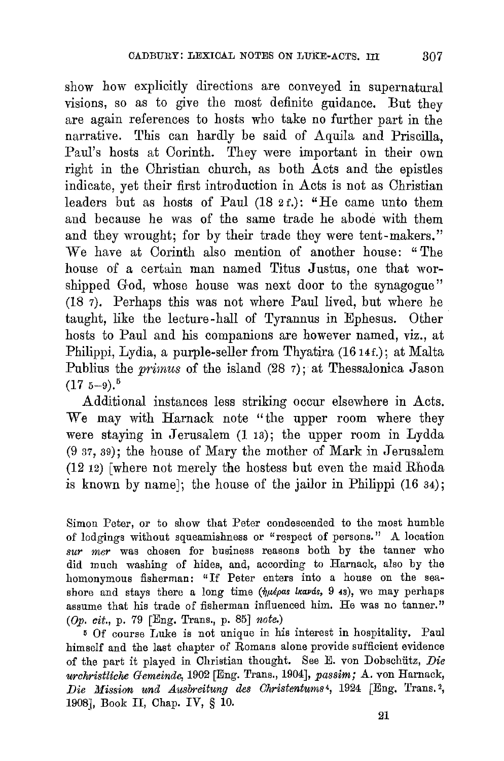show how explicitly directions are conveyed in supernatural visions, so as to give the most definite guidance. But they are again references to hosts who take no further part in the narrative. This can hardly be said of Aquila and Priscilla, Paul's hosts at Corinth. They were important in their own right in the Christian church, as both Acts and the epistles indicate, yet their first introduction in Acts is not as Christian leaders but as hosts of Paul (18 2 f.): "He came unto them and because he was of the same trade he abode with them and they wrought; for by their trade they were tent-makers." We have at Corinth also mention of another house: " The house of a certain man named Titus Justus, one that worshipped God, whose house was next door to the synagogue" (18 7). Perhaps this was not where Paul lived, but where he taught, like the lecture-hall of Tyrannus in Ephesus. Other hosts to Paul and his companions are however named, viz., at Philippi, Lydia, a purple-seller from Thyatira (16 14f.); at Malta Publius the *primus* of the island (28 7); at Thessalonica Jason  $(17, 5-9)$ .<sup>5</sup>

Additional instances less striking occur elsewhere in Acts. We may with Harnack note "the upper room where they were staying in Jerusalem (1 13); the upper room in Lydda (9 37, 39); the house of Mary the mother of Mark in Jerusalem (12 12) [where not merely the hostess but even the maid Rhoda is known by name]; the house of the jailor in Philippi (16 34);

Simon Peter, or to show that Peter condescended to the most humble of lodgings without squeamishness or "respect of persons." A location *sur mer* was chosen for business reasons both by the tanner who did much washing of hides, and, according to Harnack, also by the homonymous fisherman: "If Peter enters into a house on the seashore and stays there a long time ( $\eta\mu\epsilon\rho$ as *kards*, 9 43), we may perhaps assume that his trade of fisherman influenced him. He was no tanner." *(Op. cit.,* p. 79 [Eng. Trans., p. 85] *note.)* 

5 Of course Luke is not unique in his interest in hospitality. Paul himself and the last chapter of Romans alone provide sufficient evidence of the part it played in Christian thought. See E. von Dobschiitz, *Die urchristliche Gemeinde,* 1902 [Eng. Trans., 1904], *passim;* A. von Harnack, *Die Mission und Ausbreitung des Ohristentums4,* 1924 [Eng. Trans. 2, 1908], Book II, Chap. IV, § 10.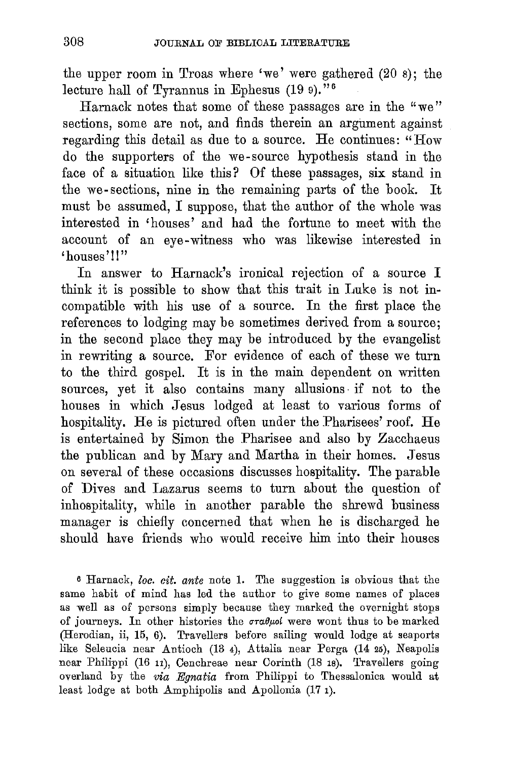the upper room in Troas where 'we' were gathered (20 s); the lecture hall of Tyrannus in Ephesus (19 9)."<sup>6</sup>

Harnack notes that some of these passages are in the "we" sections, some are not, and finds therein an argument against regarding this detail as due to a source. He continues: "How do the supporters of the we-source hypothesis stand in the face of a situation like this? Of these passages, six stand in the we-sections, nine in the remaining parts of the book. It must be assumed, I suppose, that the author of the whole was interested in 'houses' and had the fortune to meet with the account of an eye-witness who was likewise interested in 'houses'!!"

In answer to Harnack's ironical rejection of a source I think it is possible to show that this trait in Luke is not incompatible with his use of a source. In the first place the references to lodging may be sometimes derived from a source; in the second place they may be introduced by the evangelist in rewriting a source. For evidence of each of these we turn to the third gospel. It is in the main dependent on written sources, yet it also contains many allusions· if not to the houses in which Jesus lodged at least to various forms of hospitality. He is pictured often under the Pharisees' roof. He is entertained by Simon the Pharisee and also by Zacchaeus the publican and by Mary and Martha in their homes. Jesus on several of these occasions discusses hospitality. The parable of Dives and Lazarus seems to turn about the question of inhospitality, while in another parable the shrewd business manager is chiefly concerned that when he is discharged he should have friends who would receive him into their houses

<sup>6</sup> Harnack, *loc. cit. ante* note 1. The suggestion is obvious that the same habit of mind has led the author to give some names of places as well as of persons simply because they marked the overnight stops of journeys. In other histories the  $\sigma$ ra $\theta$ µoi were wont thus to be marked (Herodian, ii, 15, 6). Travellers before sailing would lodge at seaports like Seleucia near Antioch (13 4), Attalia near Perga (14 25), Neapolis near Philippi (16 11), Cenchreae near Corinth (18 1s). Travellers going overland by the *via Egnatia* from Philippi to Thessalonica would at least lodge at both Amphipolis and Apollonia (17 1).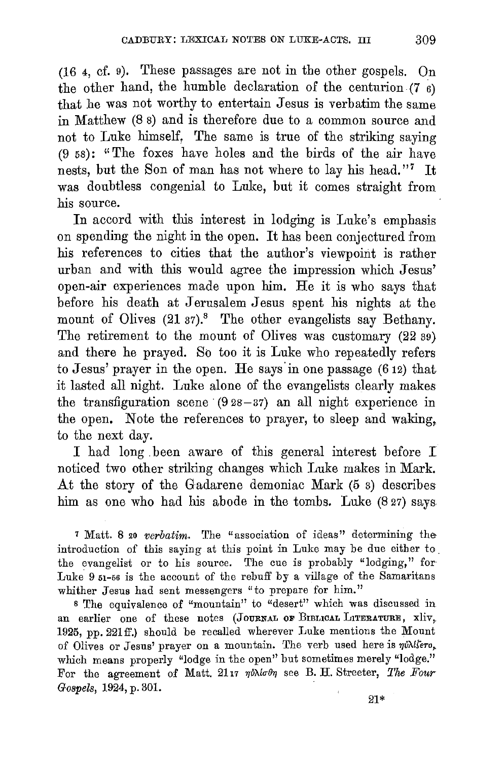(16 4, cf. 9). These passages are not in the other gospels. On the other hand, the humble declaration of the centurion (7 6) that he was not worthy to entertain Jesus is verbatim the same in Matthew (8 s) and is therefore due to a common source and not to Luke himself. The same is true of the striking saying (9 58): "The foxes have holes and the birds of the air have nests, but the Son of man has not where to lay his head."<sup>7</sup> It was doubtless congenial to Luke, but it comes straight from his source.

In accord with this interest in lodging is Luke's emphasis on spending the night in the open. It has been conjectured from his references to cities that the author's viewpoint is rather urban and with this would agree the impression which Jesus' open-air experiences made upon him. He it is who says that before his death at Jerusalem Jesus spent his nights at the mount of Olives (21 37).<sup>8</sup> The other evangelists say Bethany. The retirement to the mount of Olives was customary (22 39) and there he prayed. So too it is Luke who repeatedly refers *to* Jesus' prayer in the open. He says· in one passage (6 12) that it lasted all night. Luke alone of the evangelists clearly makes the transfiguration scene  $(928-37)$  an all night experience in the open. Note the references to prayer, to sleep and waking, to the next day.

I had long . been aware of this general interest before I noticed two other striking changes which Luke makes in Mark. At the story of the Gadarene demoniac Mark (5 3) describes him as one who had his abode in the tombs. Luke (8 27) says

7 Matt. 8 20 *verbatim.* The "association of ideas" determining the· introduction of this saying at this point in Luke may be due either to. the evangelist or to his source. The cue is probably "lodging," for Luke. 9 51-56 is the account of the rebuff by a village of the Samaritans whither Jesus had sent messengers *"to* prepare for him."

s The equivalence of "mountain" to "desert" which was discussed in. an earlier one of these notes (JOURNAL OF BIBLICAL LITERATURE, xliv, 1925, pp. 221ff.) should be recalled wherever Luke mentions the Mount of Olives or Jesus' prayer on a mountain. The verb used here is  $\eta \dot{\nu} \lambda \ell$ ero, which means properly "lodge in the open" but sometimes merely "lodge." For the agreement of Matt. 2117 *noxle on* see B. H. Streeter, *The Four Gospels,* 1924, p. 301.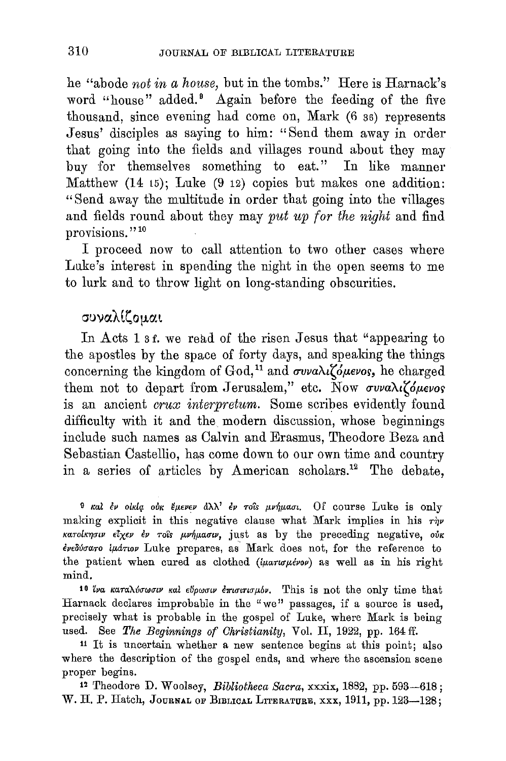he "abode *not in a house,* but in the tombs." Here is Harnack's word "house" added.<sup>9</sup> Again before the feeding of the five thousand, since evening had come on, Mark (6 36) represents Jesus' disciples as saying to him: "Send them away in order that going into the fields and villages round about they may buy for themselves something to eat." In like manner Matthew (14 t5); Luke (9 12) copies but makes one addition: "Send away the multitude in order that going into the villages and fields round about they may *put up for the night* and find provisions."<sup>10</sup>

I proceed now to call attention to two other cases where Luke's interest in spending the night in the open seems to me to lurk and to throw light on long-standing obscurities.

#### συναλίζομαι

In Acts 1 sf. we read of the risen Jesus that "appearing to the apostles by the space of forty days, and speaking the things concerning the kingdom of God,<sup>11</sup> and  $\sigma$ *uval*  $\tilde{\zeta}$ *uevos*, he charged them not to depart from Jerusalem," etc. Now συναλιζόμενος is an ancient *crux interpretum.* Some scribes evidently found difficulty with it and the modern discussion, whose beginnings include such names as Calvin and Erasmus, Theodore Beza and Sebastian Oastellio, has come down to our own time and country in a series of articles by American scholars.<sup>12</sup> The debate,

<sup>9</sup> και εν οικία ούκ έμενεν άλλ' εν τοίς μνήμασι. Of course Luke is only making explicit in this negative clause what Mark implies in his  $r\dot{m}$ *KarolKnow etxev ev roûs μνήμασιν*, just as by the preceding negative, *ούκ eveo{Hraro !p.dmov* Luke prepares, as Mark does not, for the reference to the patient when cured as clothed *(inartop-evov)* as well as in his right mind,

<sup>10</sup> *lva καταλύσωσιν και εύρωσιν επισιτισμόν*. This is not the only time that Harnack declares improbable in the "we" passages, if a source is used, precisely what is probable in the gospel of Luke, where Mark is being used. See *The Beginnings of Christianity,* Vol. II, 1922, pp. 164 ff.

u It is uncertain whether a new sentence begins at this point; also where the description of the gospel ends, and where the ascension scene proper begins.

n Theodore D. Woolsey, *Bibliotheca Sacra,* xxxix, 1882, pp. 593-618; W. H. P. Hatch, JOURNAL OF BIBLICAL LITERATURE, XXX, 1911, pp. 123-128;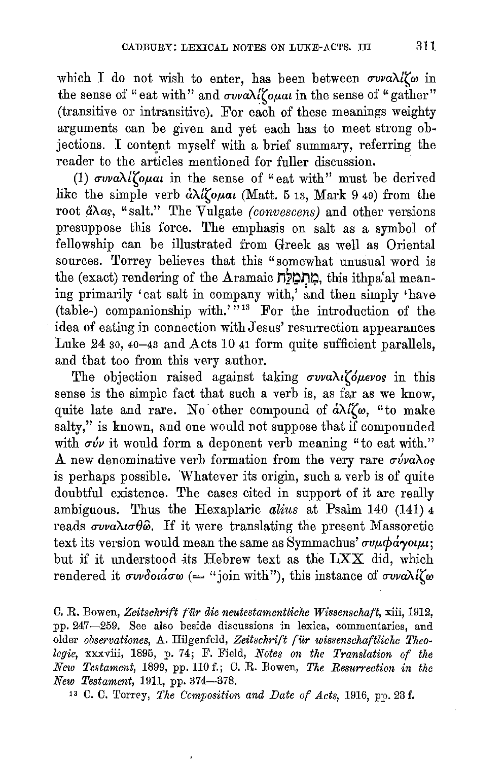which I do not wish to enter, has been between  $\sigma v \nu a \lambda i \zeta \omega$  in the sense of "eat with" and  $\sigma v$ va $\lambda$ i( $\sigma \mu$ at in the sense of "gather" (transitive or intransitive). For each of these meanings weighty arguments can be given and yet each has to meet strong objections. I content myself with a brief summary, referring the reader to the articles mentioned for fuller discussion.

(1)  $\sigma v$ va $\lambda$ i (ouat in the sense of "eat with" must be derived like the simple verb  $\dot{\alpha} \lambda \alpha \omega$  (Matt. 5 13, Mark 9 49) from the root  $d\lambda a_s$ , "salt." The Vulgate *(convescens)* and other versions presuppose this force. The emphasis on salt as a symbol of fellowship can be illustrated from Greek as well as Oriental sources. Torrey believes that this "somewhat unusual word is the (exact) rendering of the Aramaic מֲתִּמְלֵיה, this ithpa'al meaning primarily 'eat salt in company with,' and then simply 'have  $(table-)$  companionship with.' $i$ <sup>13</sup> For the introduction of the idea of eating in connection with Jesus' resurrection appearances Luke 24 30, 40-43 and Acts 10 41 form quite sufficient parallels, and that too from this very author.

The objection raised against taking  $\sigma v$ wa $\lambda \iota'$ O $\mu$ evos in this sense is the simple fact that such a verb is, as far as we know, quite late and rare. No other compound of  $\partial \lambda i^{\prime\prime}_{\alpha}$ , "to make salty," is known, and one would not suppose that if compounded with  $\sigma\nu\nu$  it would form a deponent verb meaning "to eat with." A new denominative verb formation from the very rare  $\sigma\acute{\nu}\nu$ a $\lambda$ os is perhaps possible. Whatever its origin, such a verb is of quite doubtful existence. The cases cited in support of it are really ambiguous. Thus the Hexaplaric *alius* at Psalm 140 (141) 4 reads  $\sigma\nu\nu\alpha\lambda\iota\sigma\theta\hat{\omega}$ . If it were translating the present Massoretic text its version would mean the same as Symmachus'  $\sigma\nu\mu\phi \dot{\alpha} \gamma o_i \mu_i$ ; but if it understood its Hebrew text as the LXX did, which rendered it  $\sigma\nu\gamma\delta\alpha\alpha\sigma\omega$  (= "join with"), this instance of  $\sigma\nu\nu\alpha\lambda\alpha\omega$ 

C. R. Bowen, *Zeitschrift fur die neutestamentliche Wissenschaft,* xiii, 1912, pp. 247-259. See also beside discussions in lexica, commentaries, and older *observationes*, A. Hilgenfeld, Zeitschrift für wissenschaftliche Theo*logie,* xxxviii, 1895, p. 74; F. Field, *Notes on the Translation of the New Testament, 1899, pp. 110 f.; C. R. Bowen, The Resurrection in the New Testament,* 1911, pp. 374-378.

13 C. C. Torrey, *The Ccmposition and Date of Acts,* 1916, pp. 23 f.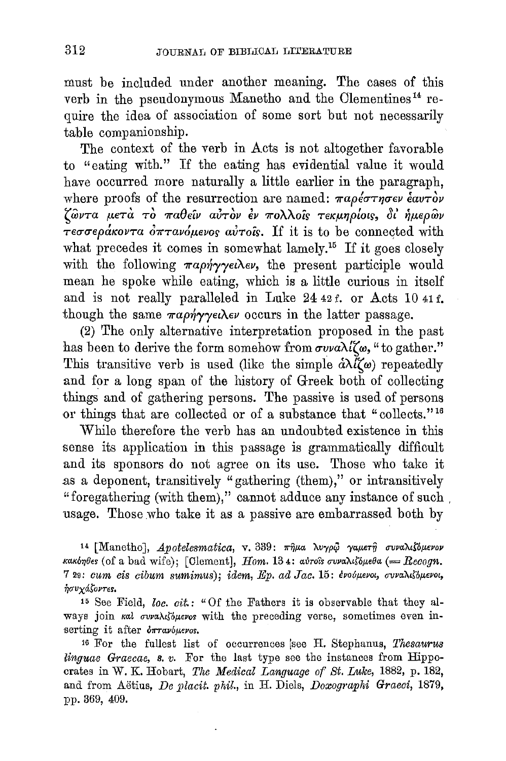must be included under another meaning. The cases of this verb in the pseudonymous Manetho and the Clementines<sup>14</sup> require the idea of association of some sort but not necessarily table companionship.

The context of the verb in Acts is not altogether favorable to "eating with." If the eating has evidential value it would have occurred more naturally a little earlier in the paragraph. where proofs of the resurrection are named:  $\pi a \rho \epsilon \sigma \tau \eta \sigma \epsilon \nu \epsilon \omega \tau \nu \nu$  $\int \omega \vec{r} \cdot \vec{a} \cdot \vec{r}$  *το παθείν αύτον εν πολλοίς τεκμηρίοις, δι' ήμερων*  $\overline{\tau}$ εσσεράκοντα οπτανόμενος αυτοΐς. If it is to be connected with what precedes it comes in somewhat lamely.<sup>15</sup> If it goes closely with the following  $\pi a \rho \dot{\eta} \gamma \gamma \epsilon \lambda \epsilon \nu$ , the present participle would mean he spoke while eating, which is a little curious in itself and is not really paralleled in Luke 24 42 f. or Acts 10 41 f. though the same  $\pi a \rho \dot{\eta} \gamma \gamma \epsilon \lambda \epsilon \nu$  occurs in the latter passage.

(2) The only alternative interpretation proposed in the past has been to derive the form somehow from  $\sigma v \nu a \lambda \alpha' w$ , "to gather." This transitive verb is used (like the simple  $\alpha\lambda\ddot{\alpha}$ ) repeatedly and for a long span of the history of Greek both of collecting things and of gathering persons. The passive is used of persons or things that are collected or of a substance that "collects." 16

While therefore the verb has an undoubted existence in this sense its application in this passage is grammatically difficult and its sponsors do not agree on its use. Those who take it as a deponent, transitively "gathering (them)," or intransitively "foregathering (with them)," cannot adduce any instance of such, usage. Those who take it as a passive are embarrassed both by

<sup>14</sup> [Manetho], *Apotelesmatica*, v. 339: πήμα λυγρώ γαμετή συναλιζόμενον *Kακόηθεs* (of a bad wife); [Clement], *Hom.* 134: αύτοΐs συναλιζόμεθα (= *Recogn.* 7 29: *cum eis cibum sumimus*); idem, Ep. ad Jac. 15: *<i>troupero, curalisquero*,  $\hbar$ συγάζοντες.

<sup>15</sup> See Field, *loc. cit.*: "Of the Fathers it is observable that they always join *kal ouralishevos* with the preceding verse, sometimes even inserting it after  $\delta \pi \tau \alpha \nu \delta \mu$ evos.

16 For the fullest list of occurrences [see H. Stephanus, *Thesaurus linguae Graecae, s. v.* For the last type see the instances from Hippocrates in W. K. Hobart, *The Medical Language of St. Luke,* 1882, p. 182, and from Aëtius, *De placit. phil.*, in H. Diels, *Doxographi Graeci*, 1879, pp. 369, 409.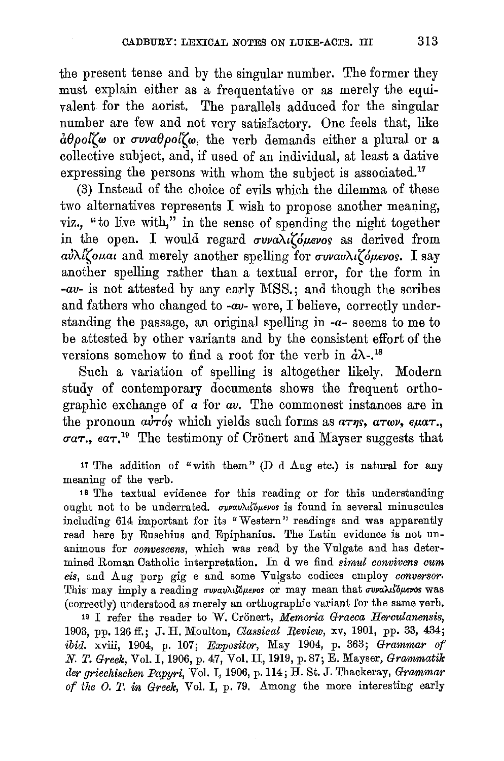the present tense and by the singular number. The former they must explain either as a frequentative or as merely the equivalent for the aorist. The parallels adduced for the singular number are few and not very satisfactory. One feels that, like  $\partial_{\theta}^{\alpha} \partial_{\theta}^{\beta} \partial_{\alpha}^{\beta}(\omega)$  or  $\sigma_{\alpha}^{\beta}$  are verb demands either a plural or a collective subject, and, if used of an individual, at least a dative expressing the persons with whom the subject is associated.<sup>17</sup>

(3) Instead of the choice of evils which the dilemma of these two alternatives represents I wish to propose another meaning, viz., "to live with," in the sense of spending the night together in the open. I would regard  $\sigma$ *uva* $\lambda$ *i* ( $\delta$ *µevos* as derived from  $a\nu\lambda$ l'(ouat and merely another spelling for  $\sigma\nu\nu\alpha\nu\lambda$ l'(oµevos. I say another spelling rather than a textual error, for the form in *-au-* is not attested by any early MSS.; and though the scribes and fathers who changed to *-au-* were, I believe, correctly understanding the passage, an original spelling in *-a-* seems to me to be attested by other variants and by the consistent effort of the versions somehow to find a root for the verb in  $\dot{a}\lambda$ -.<sup>18</sup>

Such a variation of spelling is altogether likely. Modern study of contemporary documents shows the frequent orthographic exchange of *a* for *au.* The commonest instances are in the pronoun  $a\dot{v}\tau\dot{\alpha}$  which yields such forms as  $a\tau\eta s$ ,  $a\tau\omega v$ ,  $e\mu a\tau$ .  $\sigma a\tau$ ,  $\epsilon a\tau$ <sup>19</sup>. The testimony of Crönert and Mayser suggests that

17 The addition of "with them" (D d Aug etc.) is natural for any meaning of the verb.

ts The textual evidence for this reading or for this understanding ought not to be underrated.  $\sigma$ yvav $\lambda$ *i Suevos* is found in several minuscules including 614 important for its "Western'' readings and was apparently read here by Eusebius and Epiphanius. The Latin evidence is not unanimous for *convescens,* which was read by the Vulgate and has determined Roman Catholic interpretation. In d we find *simul convivens cum eis,* and Aug perp gig e and some Vulgate codices employ *conversor.*  This may imply a reading *<i>guvaultioneros* or may mean that *guvalibueros* was (correctly) understood as merely an orthographic variant for the same verb.

19 I refer the reader to W. Cronert, *Memoria Graeca Herculanensis,*  1903, pp. 126 ff.; J. H. Moulton, *Classical Review,* xv, 1901, pp. 33, 434; *ibid.* xviii, 1904, p. 107; *Expositor,* May 1904, p. 363; *Grammar of N. T. Greek,* Vol. I, 1906, p. 47, Vol. II, 1919, p. 87; E. Mayser, *Grammatik der griechischen Papyri,* Vol. I, 1906, p.114; H. St. J. Thackeray, *Grammar of the 0. T. in Greek,* Vol. I, p. 79. Among the more interesting early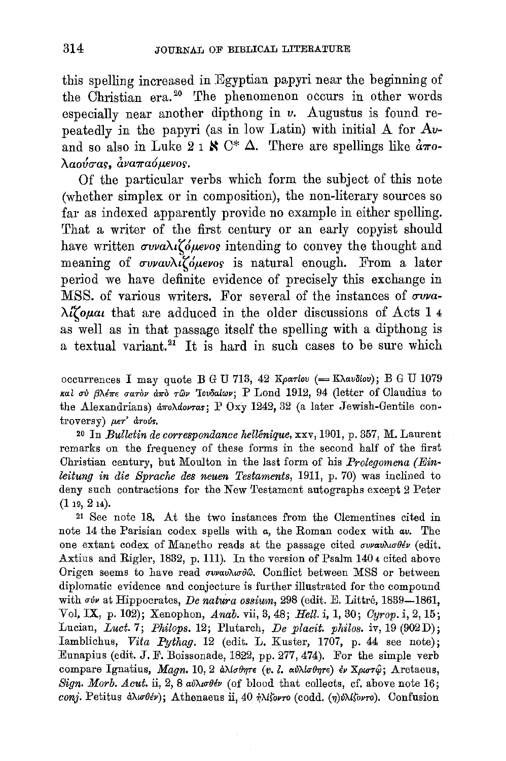this spelling increased in Egyptian papyri near the beginning of the Christian era.<sup>20</sup> The phenomenon occurs in other words especially near another dipthong in v. Augustus is found repeatedly in the papyri (as in low Latin) with initial A for Avand so also in Luke 2 1  $\ltimes$  C<sup>\*</sup>  $\Delta$ . There are spellings like  $\alpha\pi$ o $λ$ *aoύσας, αναπαόμενος.* 

Of the particular verbs which form the subject of this note (whether simplex or in composition), the non-literary sources so far as indexed apparently provide no example in either spelling. That a writer of the first century or an early copyist should have written  $\sigma v\nu a\lambda \iota \zeta \acute{o} \mu e\nu o s$  intending to convey the thought and meaning of  $\sigma$ *vvav* $\lambda$ *i* $\zeta$ *othevos* is natural enough. From a later period we have definite evidence of precisely this exchange in MSS. of various writers. For several of the instances of  $\sigma v$ va- $\lambda$ *i oual* that are adduced in the older discussions of Acts 1 4 as well as in that passage itself the spelling with a dipthong is a textual variant.<sup>21</sup> It is hard in such cases to be sure which

occurrences I may quote B G U 713, 42 *Kparlov* (= *KA.avolov);* B G U 1079 *Kal ov*  $\beta \lambda \neq \pi$  *of*  $\alpha$  *ov*  $\alpha \rightarrow \pi$  *<sup>r</sup>ov 'Iovoalwv; P Lond 1912, 94 (letter of Claudius to* the Alexandrians)  $d\pi o\lambda d\omega r\alpha s$ ; P Oxy 1242, 32 (a later Jewish-Gentile controversy)  $\mu$ er' årovs.

2o In *Bulletin de correspondance hellenique,* xxv, 1901, *p.* 357, M. Laurent remarks on the frequency of these forms in the second half of the first Christian century, but Moulton in the last form of his *Prolegomena (Einleitung in die Sprache des neuen Testaments,* 1911, *p.* 70) was inclined to deny such contractions for the New Testament autographs except 2 Peter  $(119, 214)$ .

21 See note 18. At the two instances from the Olementines cited in note 14 the Parisian codex spells with *a,* the Roman codex with *av.* The one extant codex of Manetho reads at the passage cited  $\sigma v \nu \alpha v \lambda \sigma \theta \epsilon \nu$  (edit. Axtius and Rigler, 1832, p. 111). In the version of Psalm 140 4 cited above Origen seems to have read *owavAwd&*. Conflict between MSS or between diplomatic evidence and conjecture is further illustrated for the compound with  $\sigma \nu$  at Hippocrates, *De natura ossium*, 298 (edit. E. Littré, 1839-1861, Vol, IX, p. 102); Xenophon, *Anab.* vii, 3, 48; *Hell.* i, 1, 30; *Oyrop.* i, 2, 15; Lucian, *Luct.* 7; *Philops.* 12; Plutarch, *De placit. philos.* iv, 19 (902D); Iamblichus, *Vita Pythag.* 12 (edit. L. Kuster, 1707, p. 44 see note); Eunapius (edit. J. F. Boissonade, 1822, pp. 277, 474). For the simple verb compare Ignatius, Magn. 10, 2 *αλισθητε (v. l. αύλισθητε) εν Χριστώ*; Aretaeus, *Sign. Morb. Acut.* ii, 2, 8 *αυλισθέν* (of blood that collects, cf. above note 16; conj. Petitus *άλισθέν*); Athenaeus ii, 40 *ήλίζοντο* (codd. (η)υλίζοντο). Confusion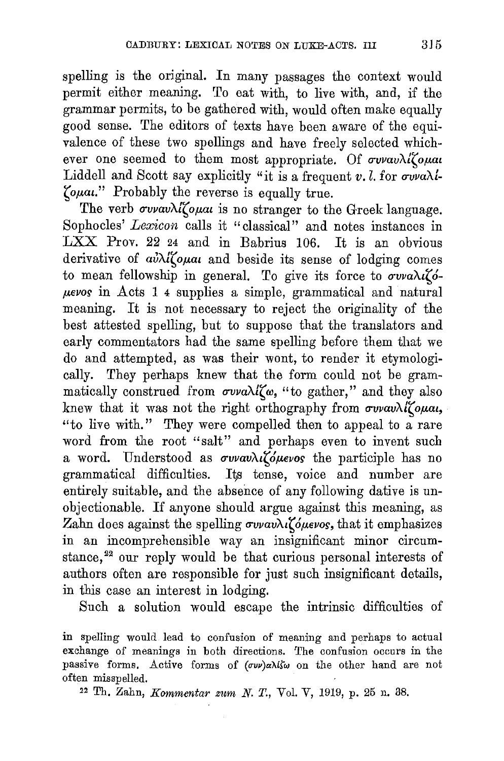spelling is the original. In many passages the context would permit either meaning. To eat with, to live with, and, if the grammar permits, to be gathered with, would often make equally good sense. The editors of texts have been aware of the equivalence of these two spellings and have freely selected whichever one seemed to them most appropriate. Of  $\sigma$ vvav $\lambda$ l $\zeta$ ouat Liddell and Scott say explicitly "it is a frequent  $v$ . *l.* for  $\sigma v v \alpha \lambda l$ - $\zeta$ o $\mu$ a." Probably the reverse is equally true.

The verb  $\sigma$ *vvav* $\lambda$ *l.*  $\sigma$ *pau* is no stranger to the Greek language. Sophocles' *Lexicon* calls it "classical" and notes instances in LXX Prov. 22 24 and in Babrius 106. It is an obvious derivative of  $a\partial\lambda i\partial\varphi a\mu$  and beside its sense of lodging comes to mean fellowship in general. To give its force to  $\sigma$ *vva* $\lambda i \zeta$ o*fJ.€110'!:* in .Acts 1 4 supplies a simple, grammatical and natural meaning. It is not necessary to reject the originality of the best attested spelling, but to suppose that the translators and early commentators had the same spelling before them that we do and attempted, as was their wont, to render it etymologically. They perhaps knew that the form could not be grammatically construed from  $\sigma v \nu a \lambda i \zeta \omega$ , "to gather," and they also knew that it was not the right orthography from  $\sigma v$ vav $\lambda i \zeta o \mu a \iota$ , "to live with." They were compelled then to appeal to a rare word from the root "salt" and perhaps even to invent such a word. Understood as  $\sigma v \nu \alpha v \lambda \iota \tilde{\zeta} \delta \mu \epsilon \nu \sigma s$  the participle has no grammatical difficulties. Its tense, voice and number are entirely suitable, and the absence of any following dative is unobjectionable. If anyone should argue against this meaning, as Zahn does against the spelling  $\sigma v \nu a v \lambda \nu \zeta \delta \mu \epsilon \nu o s$ , that it emphasizes in an incomprehensible way an insignificant minor circumstance,<sup>22</sup> our reply would be that curious personal interests of authors often are responsible for just such insignificant details, in this case an interest in lodging.

Such a solution would escape the intrinsic difficulties of

in spelling would lead to confusion of meaning and perhaps to actual exchange of meanings in both directions. The confusion occurs in the passive forms. Active forms of  $(\sigma v \nu) \alpha \lambda$ *is* on the other hand are not often misspelled.

22 Th. Zahn, *Kommentar zum N. T.,* Vol. V, 1919, p. 25 n. 38.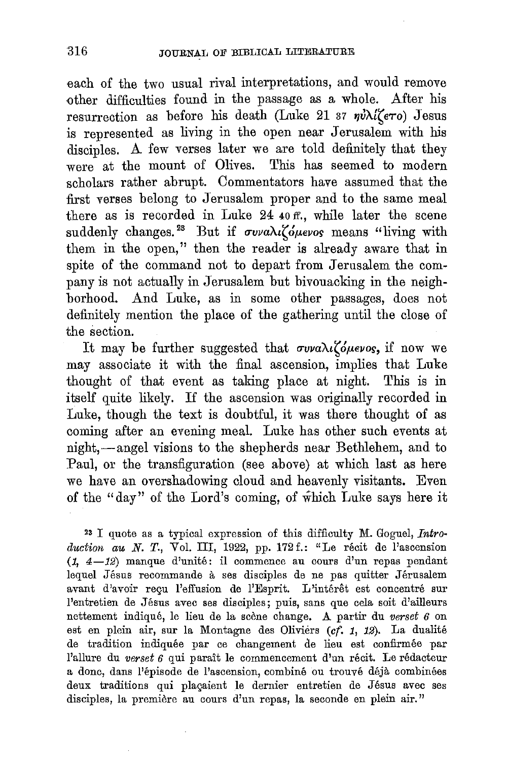each of the two usual rival interpretations, and would remove other difficulties found in the passage as a whole. After his resurrection as before his death (Luke 21 37  $\eta \partial \lambda i(\epsilon \tau o)$  Jesus is represented as living in the open near Jerusalem with his disciples. A few verses later we are told definitely that they were at the mount of Olives. This has seemed to modern scholars rather abrupt. Commentators have assumed that the first verses belong to Jerusalem proper and to the same meal there as is recorded in Luke 24 40 ff., while later the scene suddenly changes.<sup>23</sup> But if  $\sigma v \nu a \lambda \iota' \delta \mu \epsilon \nu o s$  means "living with them in the open," then the reader is already aware that in spite of the command not to depart from Jerusalem the company is not actually in Jerusalem but bivouacking in the neighborhood. And Luke, as in some other passages, does not definitely mention the place of the gathering until the close of the section.

It may be further suggested that  $\sigma$ *uva* $\lambda \iota$  (*o* $\mu$ *evos*, if now we may associate it with the final ascension, implies that Luke thought of that event as taking place at night. This is in itself quite likely. If the ascension was originally recorded in Luke, though the text is doubtful, it was there thought of as coming after an evening meal. Luke has other such events at night,-angel visions to the shepherds near Bethlehem, and to Paul, or the transfiguration (see above) at which last as here we have an overshadowing cloud and heavenly visitants. Even of the "day" of the Lord's coming, of which Luke says here it

23 I quote as a typical expression of this difficulty *M.* Goguel, *Intra· duction au N. T.*, Vol. III, 1922, pp. 172 f.: "Le récit de l'ascension  $(1, 4-12)$  manque d'unité: il commence au cours d'un repas pendant lequel Jésus recommande à ses disciples de ne pas quitter Jérusalem avant d'avoir reçu l'effusion de l'Esprit. L'intérêt est concentré sur l'entretien de Jésus avec ses disciples; puis, sans que cela soit d'ailleurs nettement indique, le lieu de la scene change. A partir du *verset* 6 on est en plein air, sur la Montagne des Oliviers *(cf. 1, 12).* La dualite de tradition indiquee par ce changement de lieu est confirmee par l'allure du *verset 6* qui paraît le commencement d'un récit. Le rédacteur a donc, dans l'épisode de l'ascension, combiné ou trouvé déjà combinées deux traditions qui plaçaient le dernier entretien de Jésus avec ses disciples, la première au cours d'un repas, la seconde en plein air."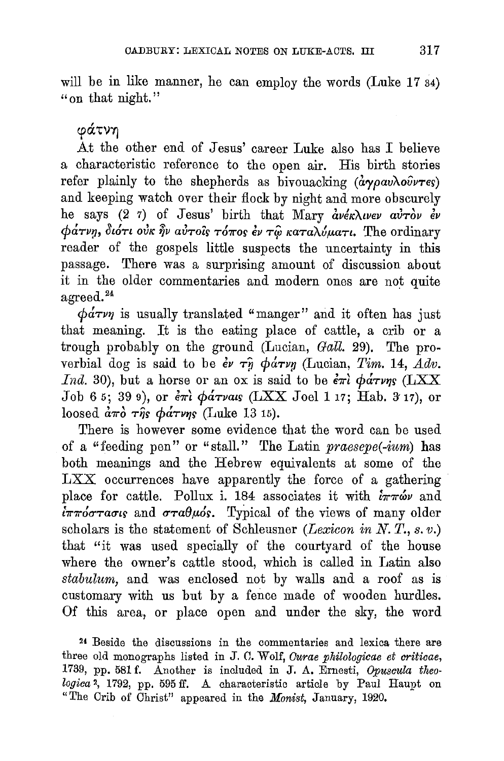will be in like manner, he can employ the words (Luke **17** 34) "on that night."

 $\varphi$ άτνη

At the other end of Jesus' career Luke also has I believe a characteristic reference to the open air. His birth stories refer plainly to the shepherds as  $\hat{b}$ ivouacking ( $\hat{a}\gamma\rho a v \lambda o \hat{v} v \tau$ es) and keeping watch over their flock by night and more obscurely he says  $(2 7)$  of Jesus' birth that Mary avek $\lambda$ ivev av $\tau$ ov ev  $\phi$ άτνη, διότι ούκ ην αύτοις τόπος έν τω καταλύματι. The ordinary reader of the gospels little suspects the uncertainty in this passage. There was a surprising amount of discussion about it in the older commentaries and modern ones are not quite agreed. <sup>24</sup>

 $\phi a \tau \nu \eta$  is usually translated "manger" and it often has just that meaning. It is the eating place of cattle, a crib or a trough probably on the ground (Lucian, *Gall.* 29). The proverbial dog is said to be  $\epsilon v$   $\tau_{\hat{H}}$   $\phi$ *a* $\tau v_{\hat{H}}$  (Lucian, *Tim.* 14, *Adv. Ind.* 30), but a horse or an ox is said to be  $\epsilon \pi i \phi \dot{a} \tau \nu \eta s$  (LXX Job 6 5; 39 9), or  $\epsilon \pi i$   $\phi$ atvats (LXX Joel 1 17; Hab. 3 17), or loosed  $\dot{a}\pi\dot{\sigma}$   $\tau\hat{\eta}s$   $\phi\acute{\alpha}\tau\nu\eta\acute{s}$  (Luke 13 15).

There is however some evidence that the word can be used of a "feeding pen" or "stall." The Latin *praesepe*(-ium) has both meanings and the Hebrew equivalents at some of the LXX occurrences have apparently the force of a gathering place for cattle. Pollux i. 184 associates it with  $i\pi\pi\omega v$  and  $\frac{1}{2}\pi\pi\omega\sigma\tau a\sigma\iota s$  and  $\sigma\tau a\theta\mu\omega s$ . Typical of the views of many older scholars is the statement of Schleusner *(Lexicon in N. T., s. v.)* that "it was used specially of the courtyard of the house where the owner's cattle stood, which is called in Latin also *stabulum,* and was enclosed not by walls and a roof as is customary with us but by a fence made of wooden hurdles. Of this area, or place open and under the sky, the word

2& Beside the discussions in the commentaries and lexica there are three old monographs listed in J. 0. Wolf, *Ourae philologicae et criticae,*  1739, pp. 581 f. Another is included in J. A. Ernesti, *Opuscula theologica* 2, 1792, pp. 595 ff. A characteristic article by Paul Haupt on "The Crib of Christ" appeared in the *Monist,* January, 1920.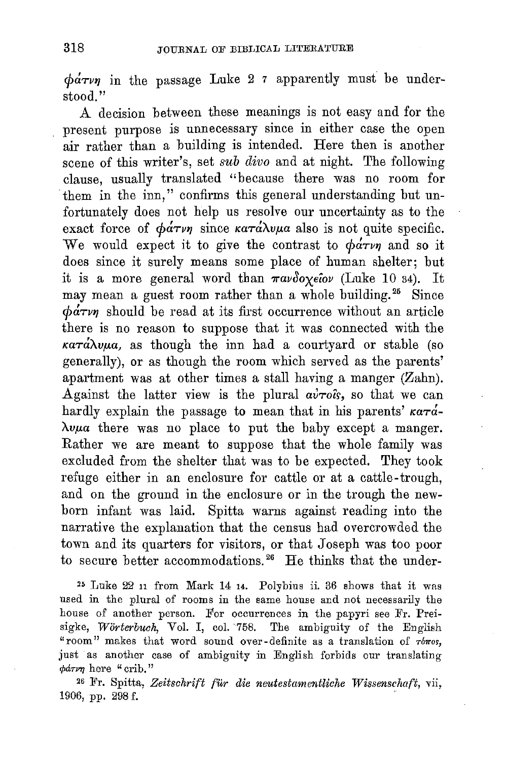$\phi a \tau \nu \eta$  in the passage Luke 2 7 apparently must be understood."

A decision between these meanings is not easy and for the present purpose is unnecessary since in either case the open air rather than a building is intended. Here then is another scene of this writer's, set *sub divo* and at night. The following clause, usually translated "because there was no room for them in the inn," confirms this general understanding but unfortunately does not help us resolve our uncertainty as to the exact force of  $\phi$ *ativn* since  $\kappa a \tau a \lambda \nu \mu a$  also is not quite specific. We would expect it to give the contrast to  $\phi a \tau \nu \eta$  and so it does since it surely means some place of human shelter; but it is a more general word than  $\pi a\nu\delta$ oxe $i\omega$  (Luke 10 34). It may mean a guest room rather than a whole building. 25 Since  $\phi a \to \phi a \to \psi a$  should be read at its first occurrence without an article there is no reason to suppose that it was connected with the  $\kappa a \tau \dot{\alpha} \lambda \nu \mu a$ , as though the inn had a courtyard or stable (so generally), or as though the room which served as the parents' apartment was at other times a stall having a manger (Zahn). Against the latter view is the plural  $a\dot{v}\tau o s$ , so that we can hardly explain the passage to mean that in his parents'  $\kappa a\tau a$ - $\lambda v \mu a$  there was no place to put the baby except a manger. Rather we are meant to suppose that the whole family was excluded from the shelter that was to be expected. They took refuge either in an enclosure for cattle or at a cattle-trough, and on the ground in the enclosure or in the trough the newborn infant was laid. Spitta warns against reading into the narrative the explanation that the census had overcrowded the town and its quarters for visitors, or that Joseph was too poor to secure better accommodations.<sup>26</sup> He thinks that the under-

25 Luke 22 11 from Mark 14 14. Polybius ii. 36 shows that it was used in the plural of rooms in the same house and not necessarily the house of another person. For occurrences in the papyri see Fr. Preisigke, *Worterbuch,* Vol. I, col. 758. The ambiguity of the English "room" makes that word sound over-definite as a translation of  $\tau$ *bros*, just as another case of ambiguity in English forbids our translating  $\phi$ *drvn* here "crib."

26 Fr. Spitta, *Zeitschrift fur die neutestamentliche Wissenscliaft,* vii, 1906, pp. 298 f.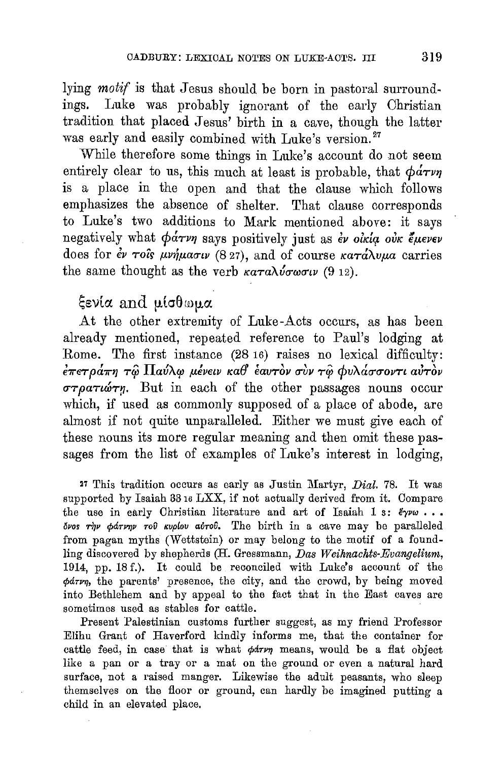lying *motif* is that Jesus should be born in pastoral surroundings. Luke was probably ignorant of the early Christian tradition that placed Jesus' birth in a cave, though the latter was early and easily combined with Luke's version.<sup>27</sup>

While therefore some things in Luke's account do not seem entirely clear to us, this much at least is probable, that  $\phi a \tau \nu \eta$ is a place in the open and that the clause which follows emphasizes the absence of shelter. That clause corresponds to Luke's two additions to Mark mentioned above: it says negatively what  $\phi$ *aTVI* says positively just as *ev olkla ovk eµevev* does for  $\dot{\epsilon}$  rois  $\mu\nu\dot{\eta}\mu\alpha\sigma\mu$  (8 27), and of course  $\kappa\alpha\tau\dot{\alpha}\lambda\nu\mu\alpha$  carries. the same thought as the verb  $\kappa a\tau a\lambda\hat{\nu}\sigma\omega\sigma\hat{\nu}$  (9 12).

#### $\epsilon$ evia and  $\mu$ io $\theta$ w $\mu$ a

At the other extremity of Luke-Acts occurs, as has been already mentioned, repeated reference to Paul's lodging at Rome. The first instance (28 16) raises no lexical difficulty: At the other extremity of Luke-Acts occurs, as has been<br>lready mentioned, repeated reference to Paul's lodging at<br>Rome. The first instance (28 16) raises no lexical difficulty:<br>πετράπη τῷ Παύλφ μένειν καθ εαυτον σὺν τῷ φυ  $\epsilon \pi \epsilon \tau \rho \dot{\alpha} \pi \eta$  τω Παύλω μένειν καθ εαυτον συν τω φυλάσσοντι αυτον<br>στρατιώτη. But in each of the other passages nouns occur which, if used as commonly supposed of a place of abode, are almost if not quite unparalleled. Either we must give each of these nouns its more regular meaning and then omit these passages from the list of examples of Luke's interest in lodging,

27 This tradition occurs as early as Justin Martyr, *Dial.* 78. It was supported by Isaiah 33 16 LXX, if not actually derived from it. Compare the use in early Christian literature and art of Isaiah 1 s:  $\ell \gamma \nu \omega \cdots$ *5Pos rl}v <f>dTII'YJP roO twplov aoroO.* The birth in a cave may be paralleled from pagan myths (Wettstein) or may belong to the motif of a foundling discovered by shepherds (H. Gressmann, *Das Weihnachts-Evangelium,*  1914, pp. 18 f.). It could be reconciled with Luke's account of the  $\phi$ *drvn*, the parents' presence, the city, and the crowd, by being moved into Bethlehem and by appeal to the fact that in the East caves are sometimes used as stables for cattle.

Present Palestinian customs further suggest, as my friend Professor Elihu Grant of Haverford kindly informs me, that the container for cattle feed, in case that is what  $\phi$ drv $\eta$  means, would be a flat object like a pan or a tray or a mat on the ground or even a natural hard surface, not a raised manger. Likewise the adult peasants, who sleep themselves on the floor or ground, can hardly be imagined putting a child in an elevated place.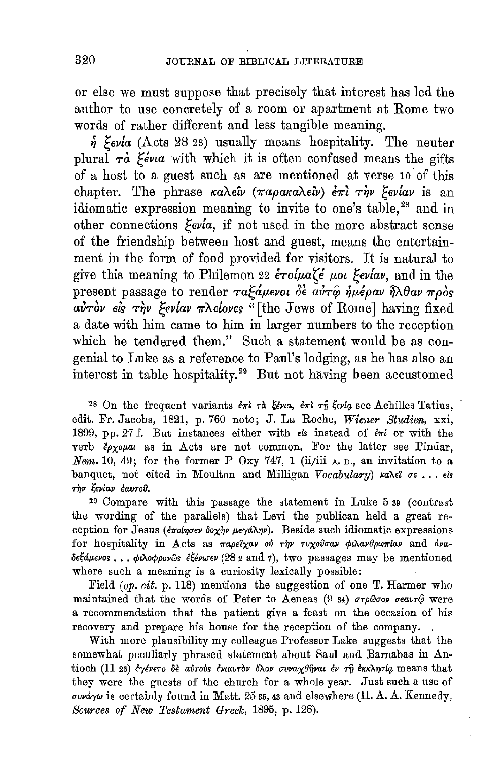or else we must suppose that precisely that interest has led the author to use concretely of a room or apartment at Rome two words of rather different and less tangible meaning.

 $\dot{\eta}$   $\zeta$  evia (Acts 28 23) usually means hospitality. The neuter plural  $\tau \dot{a}$   $\zeta \dot{\epsilon}$ *via* with which it is often confused means the gifts of a host to a guest such as are mentioned at verse 10 of this chapter. The phrase καλείν (παρακαλείν) έπι την ξενίαν is an idiomatic expression meaning to invite to one's table, 28 and in other connections  $\xi \in \mathcal{A}$ , if not used in the more abstract sense of the friendship between host and guest, means the entertainment in the form of food provided for visitors. It is natural to give this meaning to Philemon 22  $\epsilon \tau o \mu a \zeta \epsilon \mu o \nu$  *gevlav*, and in the present passage to render ταξάμενοι δε αὐτῷ ήμέραν ήλθαν προς avrov els Thy *Levlav* Theloves "[the Jews of Rome] having fixed a date with him came to him in larger numbers to the reception which he tendered them.'' Such a statement would be as congenial to Luke as a reference to Paul's lodging, as he has also an interest in table hospitality. 29 But not having been accustomed

<sup>28</sup> On the frequent variants  $\epsilon \pi l$  rd  $\epsilon \ell \nu a$ ,  $\epsilon \pi l$  rf  $\epsilon \nu l q$  see Achilles Tatius, edit. Fr. Jacobs, 1821, p. 760 note; J. La Roche, *Wiener Studien,* xxi, · 1899, pp. 27 f. But instances either with  $\epsilon$ is instead of  $\epsilon \pi i$  or with the verb  $\ell_{\rho\chi\circ\mu\alpha\iota}$  as in Acts are not common. For the latter see Pindar, *Nem.* 10, 49; for the former P Oxy 747, 1 (ii/iii  $_A$ ,  $_D$ , an invitation to a banquet, not cited in Moulton and Milligan *Vocabulary*)  $\kappa a \lambda \epsilon \hat{\epsilon}$  or ...  $\epsilon \dot{\delta}$ rhv Čevlav cavrou.

<sup>29</sup>Compare with this passage the statement in Luke 5 39 (contrast the wording of the parallels) that Levi the publican held a great reception for Jesus ( $\epsilon \tau$ olyo $\epsilon \nu$  dox $\gamma \nu$   $\mu \epsilon \gamma$ *d* $\lambda \eta \nu$ ). Beside such idiomatic expressions for hospitality in Acts as  $\pi a \rho \epsilon \hat{i} \gamma \alpha \nu$  of  $\tau \hat{\eta} \nu$  ruxofoav  $\phi \iota \lambda \alpha \nu \theta \rho \omega \pi \hat{i} \alpha \nu$  and  $\hat{a} \nu \alpha$ - $\delta \epsilon \xi d\mu e\nu$ os , ,  $\phi \mu$  $\delta \phi \rho \nu \omega$ s  $\epsilon \xi \epsilon \nu \nu \sigma \epsilon \nu$  (28 2 and 7), two passages may be mentioned where such a meaning is a curiosity lexically possible:

Field *(op. cit. p.* 118) mentions the suggestion of one T. Harmer who maintained that the words of Peter to Aeneas (9 34)  $\sigma\tau\rho\omega\sigma\sigma\nu$  vere a recommendation that the patient give a feast on the occasion of his recovery and prepare his house for the reception of the company. .

With more plausibility my colleague Professor Lake suggests that the somewhat peculiarly phrased statement about Saul and Barnabas in Antioch (11 26) Eyevero de avrous evantou UNOV ouvaxOnpat ev ry ekkNnolą means that they were the guests of the church for a whole year. Just such a use of  $\sigma\nu\nu\dot{\alpha}\gamma\omega$  is certainly found in Matt. 25 ss, 43 and elsewhere (H. A. A. Kennedy, *Sources of New Testament Greek,* 1895, p. 128).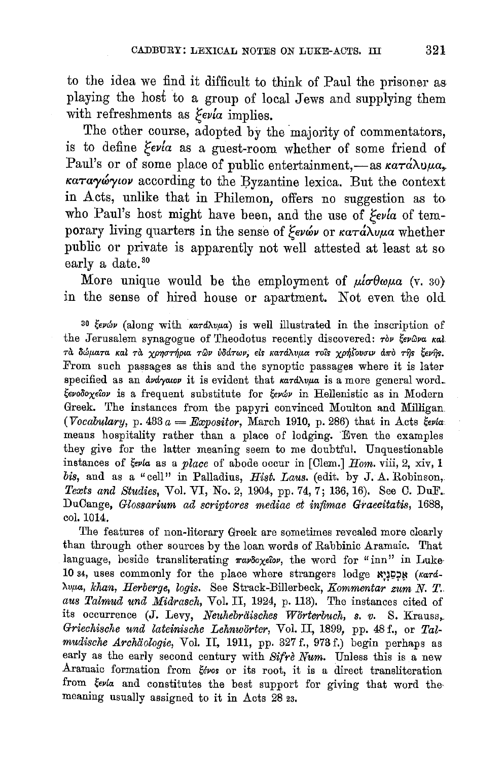to the idea we find it difficult to think of Paul the prisoner as playing the host to a group of local Jews and supplying them with refreshments as  $\xi e\nu l\alpha$  implies.

The other course, adopted by the majority of commentators, is to define *Eevia* as a guest-room whether of some friend of Paul's or of some place of public entertainment,-as  $\kappa a \tau a \lambda v_\mu a$ , *KaTa'}'W'}'toll* according to the J?yzantine lexica. But the context in Acts, unlike that in Philemon, offers no suggestion as to who Paul's host might have been, and the use of  $\epsilon \nu/a$  of temporary living quarters in the sense of *ξενών* or *κατάλυμα* whether public or private is apparently not well attested at least at so early a date.<sup>30</sup>

More unique would be the employment of  $\mu/\sigma \theta \omega \mu a$  (v. 30) in the sense of hired house or apartment. Not even the old

30  $\frac{1}{2}$  (along with  $\frac{1}{2}$   $\frac{1}{2}$   $\frac{1}{2}$  is well illustrated in the inscription of the Jerusalem synagogue of Theodotus recently discovered:  $\tau \delta \nu$   $\xi \epsilon \nu \omega \nu a \kappa a \lambda$ . Tà δώματα καί τα χρηστήρια των ύδάτων, els κατάλυμα τοίs χρήζουσιν άπο της ξενής. From such passages as this and the synoptic passages where it is later specified as an  $\partial\psi$  *audy* all is evident that  $\kappa$ *ard* $\lambda$ vµa is a more general word...  $\zeta$ evodo $\chi$ elov is a frequent substitute for  $\zeta$ ev $\omega$ v in Hellenistic as in Modern Greek. The instances from the papyri convinced Moulton and Milligan (*Vocabulary, p.* 433  $a = Exposition$ , March 1910, p. 286) that in Acts  $\xi_{e}$   $\mu$ a. means hospitality rather than a place of lodging. Even the examples they give for the latter meaning seem to me doubtful. Unquestionable instances of  $\xi$ evia as a *place* of abode occur in [Clem.] *Hom.* viii, 2, xiv, 1 bis, and as a "cell" in Palladius, *Hist. Laus.* (edit. by J. A. Robinson, *Texts and Studies, Vol. VI, No. 2, 1904, pp. 74, 7; 136, 16).* See C. DuF. DuCange, *Glossarium ad scriptores mediae et infimae Graecitatis,* 1688, col. 1014.

The features of non-literary Greek are sometimes revealed more clearly than through other sources by the loan words of Rabbinic Aramaic. That language, beside transliterating  $\pi a\nu\delta$ oxe Cov, the word for "inn" in Luke-10 34, uses commonly for the place where strangers lodge אָכְסָנֵיא (Kard- $\lambda v \mu a$ , *khan, Herberge, logis.* See Strack-Billerbeck, *Kommentar zum N. T.* aus Talmud und Midrasch, Vol. II, 1924, p. 113). The instances cited of its occurrence (J. Levy, *Neuhebräisches Wörterbuch*, s. v. S. Krauss, *Griechische und lateinische Lehnwiirter,* Vol. II, 1899, pp. 48 f., or *Talmudische Arckaologie,* Vol. II, 1911, pp. 327 f., 97S f.) begin perhaps as early as the early second century with *Sifre Num*. Unless this is a new Aramaic formation from  $\xi$ evos or its root, it is a direct transliteration from  $\xi$ evla and constitutes the best support for giving that word themeaning usually assigned to it in Acts 28 23.